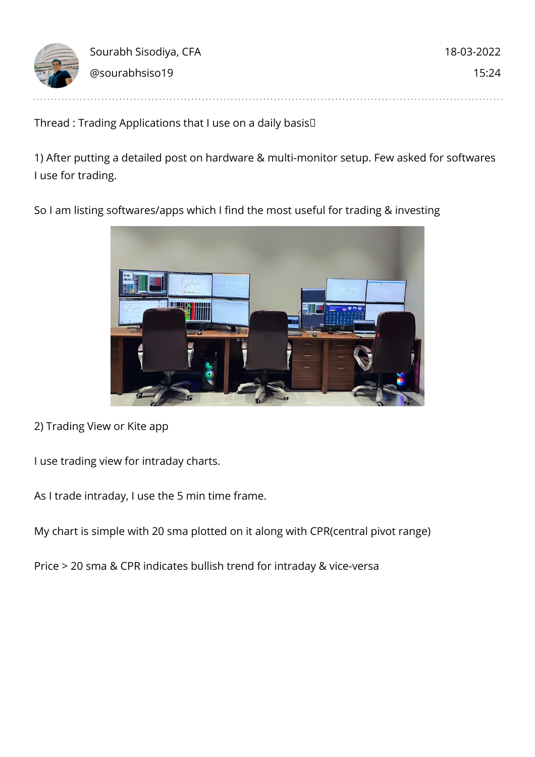

Thread : Trading Applications that I use on a daily basis

1) After putting a detailed post on hardware & multi-monitor setup. Few asked for softwares I use for trading.

So I am listing softwares/apps which I find the most useful for trading & investing



2) Trading View or Kite app

I use trading view for intraday charts.

As I trade intraday, I use the 5 min time frame.

My chart is simple with 20 sma plotted on it along with CPR(central pivot range)

Price > 20 sma & CPR indicates bullish trend for intraday & vice-versa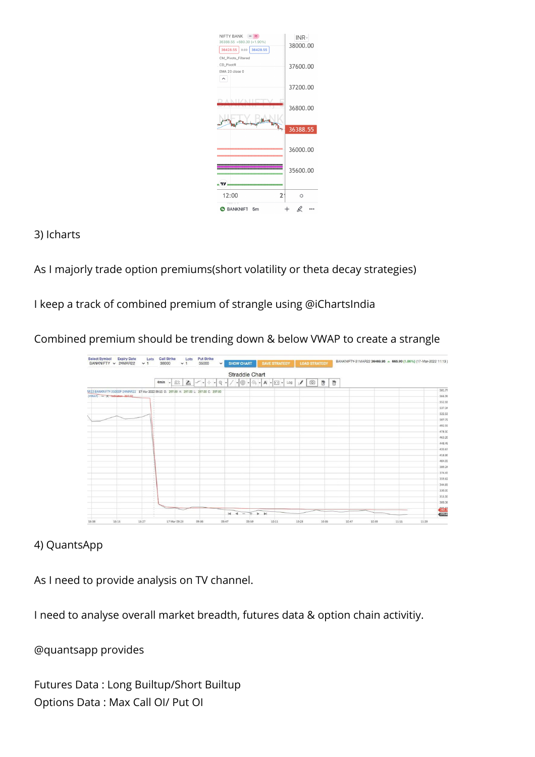

3) Icharts

As I majorly trade option premiums(short volatility or theta decay strategies)

I keep a track of combined premium of strangle using @iChartsIndia

Combined premium should be trending down & below VWAP to create a strangle

|                                |                                                                                         |                      |                             | <b>Straddle Chart</b>                             |                     |        |                  |
|--------------------------------|-----------------------------------------------------------------------------------------|----------------------|-----------------------------|---------------------------------------------------|---------------------|--------|------------------|
|                                | 4min<br>÷.                                                                              | €<br>ا ہے۔<br>命<br>÷ | $\bullet$ $\circ$ $\bullet$ | $ \circ$ $\frac{1}{4}$ $-$ A $ \circ$ $\circ$ Log | tō<br>$\mathcal{F}$ | 奇<br>窗 |                  |
|                                | AR22:BANKNIFTY-35000P-24MAR22 17 Mar 2022 09:15 0: 297.00 H: 297.00 L: 297.00 C: 297.00 |                      |                             |                                                   |                     |        | 581.77           |
| $(WMAP) = X$ Indicator: 297.00 |                                                                                         |                      |                             |                                                   |                     |        | 566.96           |
|                                |                                                                                         |                      |                             |                                                   |                     |        | \$52.15          |
|                                |                                                                                         |                      |                             |                                                   |                     |        | 537.34           |
|                                |                                                                                         |                      |                             |                                                   |                     |        | 522.53           |
|                                |                                                                                         |                      |                             |                                                   |                     |        | 507.72           |
|                                |                                                                                         |                      |                             |                                                   |                     |        | 492.91           |
|                                |                                                                                         |                      |                             |                                                   |                     |        | 478.10           |
|                                |                                                                                         |                      |                             |                                                   |                     |        | 463.25           |
|                                |                                                                                         |                      |                             |                                                   |                     |        | 448.48<br>433.67 |
|                                |                                                                                         |                      |                             |                                                   |                     |        | 418.86           |
|                                |                                                                                         |                      |                             |                                                   |                     |        | 404.05           |
|                                |                                                                                         |                      |                             |                                                   |                     |        | 389.24           |
|                                |                                                                                         |                      |                             |                                                   |                     |        | $-374.43$        |
|                                |                                                                                         |                      |                             |                                                   |                     |        | 359.62           |
|                                |                                                                                         |                      |                             |                                                   |                     |        | 344.81           |
|                                |                                                                                         |                      |                             |                                                   |                     |        | 330.00           |
|                                | $\sim$                                                                                  |                      |                             |                                                   |                     |        | 315.15           |
|                                | $\sim$                                                                                  |                      |                             |                                                   |                     |        | 300.38           |
|                                |                                                                                         |                      |                             |                                                   |                     |        | 282.3            |

## 4) QuantsApp

As I need to provide analysis on TV channel.

I need to analyse overall market breadth, futures data & option chain activitiy.

@quantsapp provides

Futures Data : Long Builtup/Short Builtup Options Data : Max Call OI/ Put OI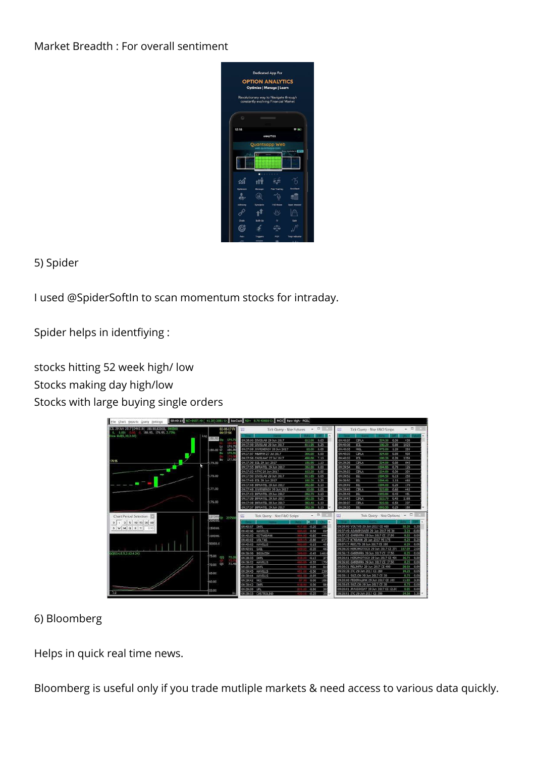Market Breadth : For overall sentiment



5) Spider

I used @SpiderSoftIn to scan momentum stocks for intraday.

Spider helps in identfiying :

stocks hitting 52 week high/ low Stocks making day high/low Stocks with large buying single orders



## 6) Bloomberg

Helps in quick real time news.

Bloomberg is useful only if you trade mutliple markets & need access to various data quickly.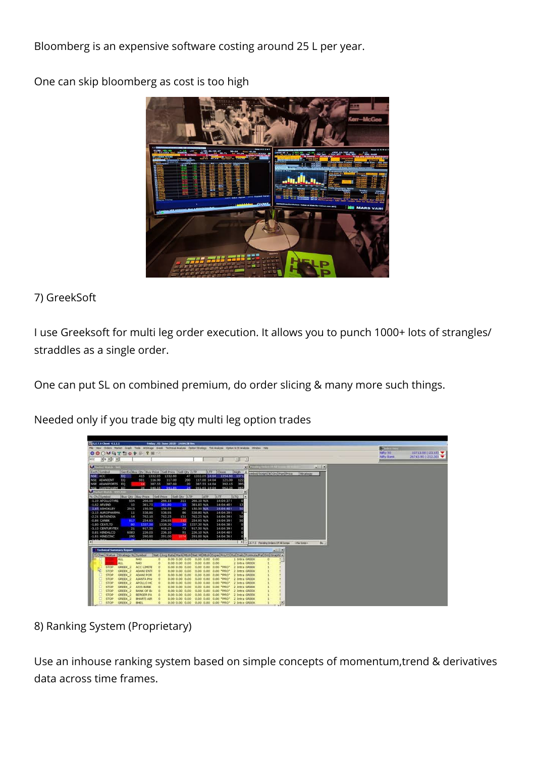Bloomberg is an expensive software costing around 25 L per year.

One can skip bloomberg as cost is too high



# 7) GreekSoft

I use Greeksoft for multi leg order execution. It allows you to punch 1000+ lots of strangles/ straddles as a single order.

One can put SL on combined premium, do order slicing & many more such things.

Needed only if you trade big qty multi leg option trades

| GELTS Clent 4.1.1.1<br>Friday, 81-June-2018 - 14:04:38 Hrs<br>File View Orders Market Graph Took Adstrage Greek Technical-Analysis Option-Shategy Tok-Analysis Collor-&OLAnalysis Window Help<br>OOOMDY BOYST                                                                                                                                                                                                                                                                                                                                                                                                                                                                                                                                                                                                                                                                                                                                                                                                                                                                                                                                                                                                                                                                                                                                                                                                                                                                                                                                                                      | <b>College Inc.</b><br>NWy 50<br>10713.00 (-23.15) |  |
|------------------------------------------------------------------------------------------------------------------------------------------------------------------------------------------------------------------------------------------------------------------------------------------------------------------------------------------------------------------------------------------------------------------------------------------------------------------------------------------------------------------------------------------------------------------------------------------------------------------------------------------------------------------------------------------------------------------------------------------------------------------------------------------------------------------------------------------------------------------------------------------------------------------------------------------------------------------------------------------------------------------------------------------------------------------------------------------------------------------------------------------------------------------------------------------------------------------------------------------------------------------------------------------------------------------------------------------------------------------------------------------------------------------------------------------------------------------------------------------------------------------------------------------------------------------------------------|----------------------------------------------------|--|
| 图片图片图<br>×<br>÷<br>NSE<br>$+1$                                                                                                                                                                                                                                                                                                                                                                                                                                                                                                                                                                                                                                                                                                                                                                                                                                                                                                                                                                                                                                                                                                                                                                                                                                                                                                                                                                                                                                                                                                                                                     | July Bank<br>26743.90 (-212.30)                    |  |
| subru Dréan IVAS Sa<br>同日期<br><b>N. Startist Watch.</b><br>xii<br>Each Synbol<br>Ser/ExcBuy Oty Buy Price Sell Price Sell Oty LTP<br>LTT    Oose<br>High<br>1.14<br>whol/Script1 B Orc Pen Price<br>Strategy<br>NSE ACC<br>1354.60 1371<br>47 1332.05 14:04<br>EQ<br>415<br>1332.05<br>1332.60<br>EO.<br><b>NSE ADANIENT</b><br>121.00<br>$-122$<br>981<br>116.90<br>117.00<br>200<br>117.00 14:04<br>NSE ADANIPORTS EQ<br>387.55<br>387.60<br>$20 -$<br>387.55 14:04<br>392.15<br>395<br>940.55<br>941.65 14:04 962.35<br>NSE ASMITINARM EO<br><b>COLLECT</b><br>941.85<br>065<br><b>Narkel Walley, MACAN</b><br>% Chi Symbol<br>Buy Oty Buy Price Sell Price<br>Sell Oty LTP<br>SATP<br>LTO<br><b>ILTT</b><br>-1.19 APOLLOTIFIE<br>654<br>266.00<br>266.10 N/A<br>14:04:371<br>266.15<br>311<br>10<br>$-1.62$ ARVIND<br>301.75<br>381.85 N/A<br>14:04:401<br>381.80<br>15<br><b>1.65 ASHORLEY</b><br>150.50 N/A<br>2913<br>150.50<br>150.33<br>25<br>14:04:401<br>50<br>538.80<br>538.95<br>538.80 N/A<br><b>J.15 AUROPHARMA</b><br>11<br>86<br>14:04:391<br>-2.21 BATAINDIA<br>14<br>762.10<br>762.25<br>151<br>762,25 N/A<br>14:04:39.1<br>50<br>-0.86 CANBK<br>254.85<br>254.95<br>254.95 N/A<br>812<br>110<br>14:04:39.1<br>50<br>$-1.80$ CEAR.TO<br>1337.50<br>1338.30<br>1337.30 N/A<br>m<br>741<br>14:04:38.8<br>$-21$<br>917.50<br>917,50 N/A<br>14:04:391<br>-3.13 CENTURYTEX<br>918.25<br>73<br>0.81 HINDALCO<br>236.05<br>236.10<br>91<br>236.10 N/A<br>14:04:401<br>6083<br>-1.81 HINDZINC<br>190<br>200.60<br>291.00<br>201.00 N/A<br>14:04:361<br>1317.4           |                                                    |  |
| $\bullet$<br><b>A LET'S Pending Orders Of All Sorge</b><br><b>Jolle Scient</b><br>Bu:                                                                                                                                                                                                                                                                                                                                                                                                                                                                                                                                                                                                                                                                                                                                                                                                                                                                                                                                                                                                                                                                                                                                                                                                                                                                                                                                                                                                                                                                                              |                                                    |  |
| <b>Technical Summary Report</b><br><b>ASSIS</b><br>TChec Status Strategy N Synbol<br>Net (Live Rate Mari Mon-Mar) Mont (Exper Pro/Cl Rui Daily Formula/Pat) Enti-Graphi -<br>ALL <sub>1</sub><br>×<br><b>N40</b><br>$\circ$<br>0.00 0.00 0.00 0.00 0.00 0.00<br>1 Intra GRIEK<br>o<br>r<br>ALL<br><b>N40</b><br>o<br>0.00 0.00 0.00<br>0.00 0.00 0.00<br>2 Intra GREEK<br>ž.<br>ACC LIMITE<br>GREEK 2<br>e<br>STOP.<br>0.00 0.00 0.00<br>0.00 0.00 0.00 "PRO"<br>2 Intra GREEK<br>咆<br>s.<br>GREEK 2<br><b>ADAMI ENTI</b><br>a<br>STOP.<br>0.00 0.00 0.00<br>0.00 0.00 0.00 "PRO"<br>2 Intra GREEK<br>٠<br>а<br>GREEK 2<br>ADANI POR<br><b>STOP</b><br>$\circ$<br>0.00 0.00 0.00<br>0.00 0.00 0.00 "PRO"<br>2 Intra GREEK<br>α<br>GREEK <sub>2</sub><br>AMATA PHI<br>٠<br>Ò<br>0.00 0.00 0.00<br>0.00 0.00 0.00 "PRO"<br><b>STOP</b><br>2 Intra GREEK<br><b>CREEK 2</b><br>APOLLO HC<br>a<br><b>STOP</b><br>0.00 0.00 0.00<br>0.00 0.00 0.00 "PRD" 7 Intra GREEK<br>÷<br>Θ<br><b>GREEK 2</b><br>AXIS BARK<br>0.00 0.00 0.00 "PRD"<br><b>STOP</b><br>$\circ$<br>0.00 0.00 0.00<br>2 Intra GRIEK<br>٠<br>α<br>GREEK 2<br><b>BANK OF BI</b><br><b>STOP</b><br>o<br>0.00 0.00 0.00<br>0.00 0.00 0.00 "PRD"<br>2 Intra GREEK<br>ο<br>ø.<br>GREEK 2<br><b>STOP</b><br>BERGER PA<br>0.00 0.00 0.00 0.00 0.00 0.00 "PRO"<br>o<br>2 Intra GREEK<br>о<br>ä,<br><b>STOP</b><br>GREEK 2<br><b>BHARTI AIR</b><br>O<br>0.00 0.00 0.00 0.00 0.00 0.00 "PRO" 2 Intra GREEK<br>$\frac{1}{2}$<br>STOP<br>GREEK <sub>2</sub><br>BHEL<br>0.00 0.00 0.00 0.00 0.00 0.00 "PRO" 2 Intra GREEK<br>$\alpha$ |                                                    |  |

8) Ranking System (Proprietary)

Use an inhouse ranking system based on simple concepts of momentum,trend & derivatives data across time frames.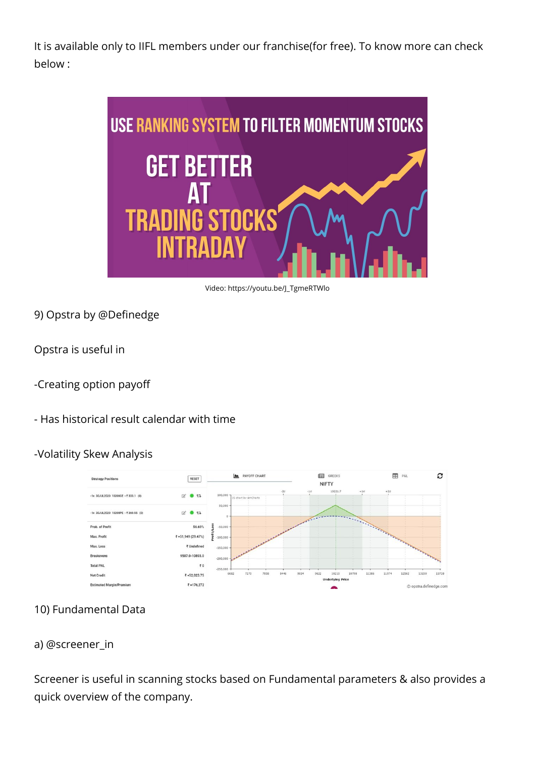It is available only to IIFL members under our franchise(for free). To know more can check below :



Video: https://youtu.be/J\_TgmeRTWlo

9) Opstra by @Definedge

Opstra is useful in

-Creating option payoff

## - Has historical result calendar with time

#### -Volatility Skew Analysis



## 10) Fundamental Data

#### a) @screener\_in

Screener is useful in scanning stocks based on Fundamental parameters & also provides a quick overview of the company.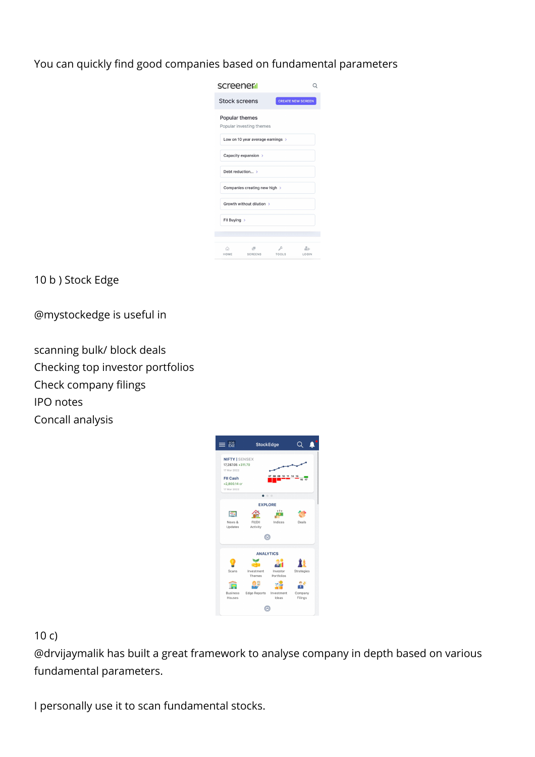You can quickly find good companies based on fundamental parameters

| screener <mark>il</mark>                   |                          |             |  |  |  |  |  |
|--------------------------------------------|--------------------------|-------------|--|--|--|--|--|
| <b>Stock screens</b>                       | <b>CREATE NEW SCREEN</b> |             |  |  |  |  |  |
| Popular themes<br>Popular investing themes |                          |             |  |  |  |  |  |
| Low on 10 year average earnings >          |                          |             |  |  |  |  |  |
| Capacity expansion >                       |                          |             |  |  |  |  |  |
| Debt reduction >                           |                          |             |  |  |  |  |  |
| Companies creating new high >              |                          |             |  |  |  |  |  |
| Growth without dilution >                  |                          |             |  |  |  |  |  |
| FII Buying >                               |                          |             |  |  |  |  |  |
|                                            |                          |             |  |  |  |  |  |
| ιW.<br>क़<br>HOME SCREENS                  | s<br><b>TOOLS</b>        | 21<br>LOGIN |  |  |  |  |  |

10 b ) Stock Edge

@mystockedge is useful in

scanning bulk/ block deals Checking top investor portfolios Check company filings IPO notes Concall analysis



## 10 c)

@drvijaymalik has built a great framework to analyse company in depth based on various fundamental parameters.

I personally use it to scan fundamental stocks.